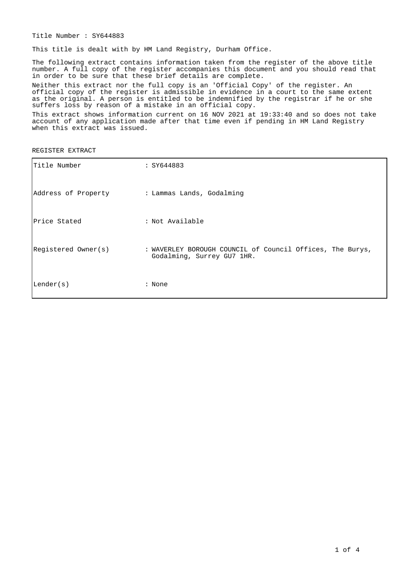Title Number : SY644883

This title is dealt with by HM Land Registry, Durham Office.

The following extract contains information taken from the register of the above title number. A full copy of the register accompanies this document and you should read that in order to be sure that these brief details are complete.

Neither this extract nor the full copy is an 'Official Copy' of the register. An official copy of the register is admissible in evidence in a court to the same extent as the original. A person is entitled to be indemnified by the registrar if he or she suffers loss by reason of a mistake in an official copy.

This extract shows information current on 16 NOV 2021 at 19:33:40 and so does not take account of any application made after that time even if pending in HM Land Registry when this extract was issued.

REGISTER EXTRACT

| Title Number                                  | : SY644883                                                                              |
|-----------------------------------------------|-----------------------------------------------------------------------------------------|
| Address of Property : Lammas Lands, Godalming |                                                                                         |
| Price Stated                                  | : Not Available                                                                         |
| Registered Owner(s)                           | : WAVERLEY BOROUGH COUNCIL of Council Offices, The Burys,<br>Godalming, Surrey GU7 1HR. |
| Lender(s)                                     | : None                                                                                  |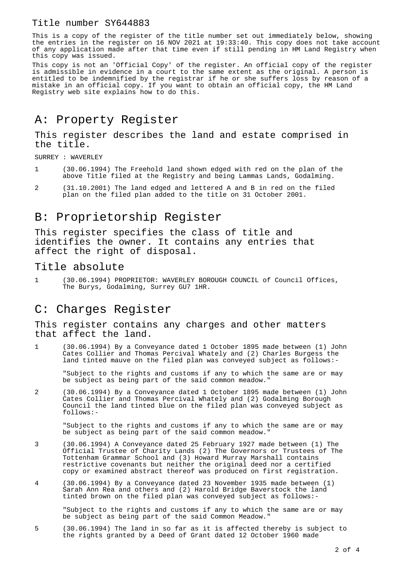### Title number SY644883

This is a copy of the register of the title number set out immediately below, showing the entries in the register on 16 NOV 2021 at 19:33:40. This copy does not take account of any application made after that time even if still pending in HM Land Registry when this copy was issued.

This copy is not an 'Official Copy' of the register. An official copy of the register is admissible in evidence in a court to the same extent as the original. A person is entitled to be indemnified by the registrar if he or she suffers loss by reason of a mistake in an official copy. If you want to obtain an official copy, the HM Land Registry web site explains how to do this.

# A: Property Register

This register describes the land and estate comprised in the title.

SURREY : WAVERLEY

- 1 (30.06.1994) The Freehold land shown edged with red on the plan of the above Title filed at the Registry and being Lammas Lands, Godalming.
- 2 (31.10.2001) The land edged and lettered A and B in red on the filed plan on the filed plan added to the title on 31 October 2001.

## B: Proprietorship Register

This register specifies the class of title and identifies the owner. It contains any entries that affect the right of disposal.

### Title absolute

1 (30.06.1994) PROPRIETOR: WAVERLEY BOROUGH COUNCIL of Council Offices, The Burys, Godalming, Surrey GU7 1HR.

### C: Charges Register

This register contains any charges and other matters that affect the land.

1 (30.06.1994) By a Conveyance dated 1 October 1895 made between (1) John Cates Collier and Thomas Percival Whately and (2) Charles Burgess the land tinted mauve on the filed plan was conveyed subject as follows:-

"Subject to the rights and customs if any to which the same are or may be subject as being part of the said common meadow."

2 (30.06.1994) By a Conveyance dated 1 October 1895 made between (1) John Cates Collier and Thomas Percival Whately and (2) Godalming Borough Council the land tinted blue on the filed plan was conveyed subject as follows:-

"Subject to the rights and customs if any to which the same are or may be subject as being part of the said common meadow."

- 3 (30.06.1994) A Conveyance dated 25 February 1927 made between (1) The Official Trustee of Charity Lands (2) The Governors or Trustees of The Tottenham Grammar School and (3) Howard Murray Marshall contains restrictive covenants but neither the original deed nor a certified copy or examined abstract thereof was produced on first registration.
- 4 (30.06.1994) By a Conveyance dated 23 November 1935 made between (1) Sarah Ann Rea and others and (2) Harold Bridge Baverstock the land tinted brown on the filed plan was conveyed subject as follows:-

"Subject to the rights and customs if any to which the same are or may be subject as being part of the said Common Meadow."

5 (30.06.1994) The land in so far as it is affected thereby is subject to the rights granted by a Deed of Grant dated 12 October 1960 made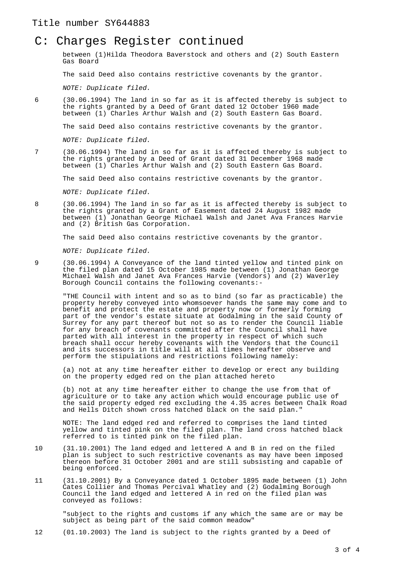#### Title number SY644883

### C: Charges Register continued

between (1)Hilda Theodora Baverstock and others and (2) South Eastern Gas Board

The said Deed also contains restrictive covenants by the grantor.

NOTE: Duplicate filed.

6 (30.06.1994) The land in so far as it is affected thereby is subject to the rights granted by a Deed of Grant dated 12 October 1960 made between (1) Charles Arthur Walsh and (2) South Eastern Gas Board.

The said Deed also contains restrictive covenants by the grantor.

NOTE: Duplicate filed.

7 (30.06.1994) The land in so far as it is affected thereby is subject to the rights granted by a Deed of Grant dated 31 December 1968 made between (1) Charles Arthur Walsh and (2) South Eastern Gas Board.

The said Deed also contains restrictive covenants by the grantor.

NOTE: Duplicate filed.

8 (30.06.1994) The land in so far as it is affected thereby is subject to the rights granted by a Grant of Easement dated 24 August 1982 made between (1) Jonathan George Michael Walsh and Janet Ava Frances Harvie and (2) British Gas Corporation.

The said Deed also contains restrictive covenants by the grantor.

NOTE: Duplicate filed.

9 (30.06.1994) A Conveyance of the land tinted yellow and tinted pink on the filed plan dated 15 October 1985 made between (1) Jonathan George Michael Walsh and Janet Ava Frances Harvie (Vendors) and (2) Waverley Borough Council contains the following covenants:-

"THE Council with intent and so as to bind (so far as practicable) the property hereby conveyed into whomsoever hands the same may come and to benefit and protect the estate and property now or formerly forming part of the vendor's estate situate at Godalming in the said County of Surrey for any part thereof but not so as to render the Council liable for any breach of covenants committed after the Council shall have parted with all interest in the property in respect of which such breach shall occur hereby covenants with the Vendors that the Council and its successors in title will at all times hereafter observe and perform the stipulations and restrictions following namely:

(a) not at any time hereafter either to develop or erect any building on the property edged red on the plan attached hereto

(b) not at any time hereafter either to change the use from that of agriculture or to take any action which would encourage public use of the said property edged red excluding the 4.35 acres between Chalk Road and Hells Ditch shown cross hatched black on the said plan."

NOTE: The land edged red and referred to comprises the land tinted yellow and tinted pink on the filed plan. The land cross hatched black referred to is tinted pink on the filed plan.

- 10 (31.10.2001) The land edged and lettered A and B in red on the filed plan is subject to such restrictive covenants as may have been imposed thereon before 31 October 2001 and are still subsisting and capable of being enforced.
- 11 (31.10.2001) By a Conveyance dated 1 October 1895 made between (1) John Cates Collier and Thomas Percival Whatley and (2) Godalming Borough Council the land edged and lettered A in red on the filed plan was conveyed as follows:

"subject to the rights and customs if any which the same are or may be subject as being part of the said common meadow"

12 (01.10.2003) The land is subject to the rights granted by a Deed of